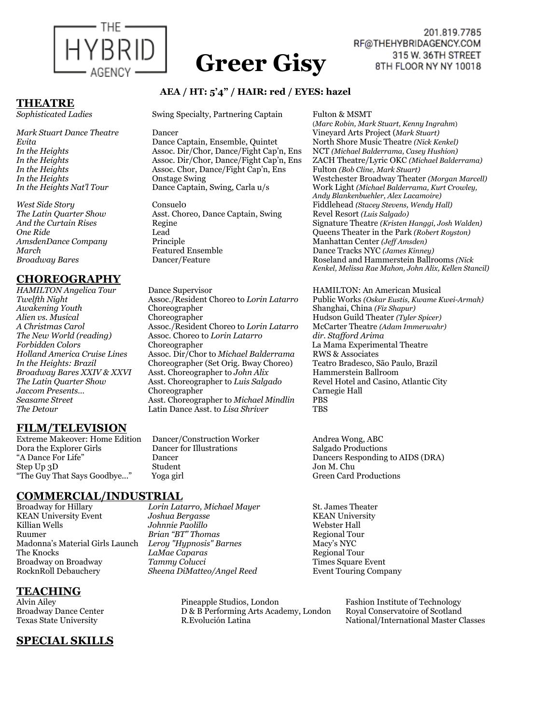

# **Greer Gisy**

#### 201.819.7785 RF@THEHYBRIDAGENCY.COM 315 W. 36TH STREET 8TH FLOOR NY NY 10018

#### **AEA / HT: 5'4" / HAIR: red / EYES: hazel**

*Sophisticated Ladies* Swing Specialty, Partnering Captain Fulton & MSMT

**THEATRE** 

## **CHOREOGRAPHY**

## **FILM/TELEVISION**

Extreme Makeover: Home Edition Dancer/Construction Worker Andrea Wong, ABC<br>
Dora the Explorer Girls Dancer for Illustrations Salgado Productions Dora the Explorer Girls Dancer<br>"A Dance For Life" Dancer Step Up 3D Student Jon M. Chu "The Guy That Says Goodbye..." Yoga girl

#### **COMMERCIAL/INDUSTRIAL**

KEAN University Event *Joshua Bergasse* KEAN University Ruumer *Brian "BT" Thomas* Regional Tour Madonna's Material Girls Launch *Leroy "Hypnosis" Barnes* Macy's NYC The Knocks *LaMae Caparas* **Broadway on Broadway** *Tammy Colucci* **Times Square Event** 

Broadway for Hillary *Lorin Latarro, Michael Mayer* St. James Theater Johnnie Paolillo RocknRoll Debauchery *Sheena DiMatteo/Angel Reed* Event Touring Company

# **TEACHING**

## **SPECIAL SKILLS**

 (*Marc Robin, Mark Stuart, Kenny Ingrahm*) *Evita* **Dance Captain, Ensemble, Quintet** Morth Shore Music Theatre *(Nick Kenkel) In the Heights* **Assoc. Dir/Chor, Dance/Fight Cap'n, Ens NCT** *(Michael Balderrama, Casey Hushion) In the Heights* Assoc. Dir/Chor, Dance/Fight Cap'n, Ens ZACH Theatre/Lyric OKC *(Michael Balderrama) In the Heights* **Constage Swing** Westchester Broadway Theater *(Morgan Marcell)*<br>19 *In the Heights Nat'l Tour* Dance Captain, Swing, Carla u/s Work Light *(Michael Balderrama, Kurt Crowley, <u>Work Light (Michael Balderrama, Kurt Crowley,</u> Andy Blankenbuehler, Alex Lacamoire) West Side Story* Consuel0 Fiddlehead *(Stacey Stevens, Wendy Hall) And the Curtain Rises* Regine Signature Theatre *(Kristen Hanggi, Josh Walden) One Ride* Lead Queens Theater in the Park *(Robert Royston) Broadway Bares* Dancer/Feature Roseland and Hammerstein Ballrooms *(Nick Kenkel, Melissa Rae Mahon, John Alix, Kellen Stancil)* 

*Twelfth Night* **Assoc./Resident Choreo to** *Lorin Latarro* Public Works *(Oskar Eustis, Kwame Kwei-Armah)*<br>Awakening Youth **Choreographer** Shanghai, China *(Fiz Shapur)* 

Dancers Responding to AIDS (DRA)

Alvin Ailey Pineapple Studios, London Fashion Institute of Technology Broadway Dance Center D & B Performing Arts Academy, London Royal Conservatoire of Scotland Texas State University R.Evolución Latina National/International Master Classes

*Mark Stuart Dance Theatre* Dancer Vineyard Arts Project (*Mark Stuart)*

*In the Heights* **Assoc. Dir/Chor, Dance/Fight Cap'n, Ens** *In the Heights* **Assoc. Dir/Chor, Dance/Fight Cap'n, Ens** *In the Heights* **Assoc. Chor, Dance/Fight Cap'n, Ens** Fulton *(Bob Cline, Mark Stuart) Assoc. Chor, Dance/Fight Cap'n, Ens* 

*The Latin Quarter Show* **Asst. Choreo, Dance Captain, Swing Revel Resort** *(Luis Salgado)***<br>** *And the Curtain Rises* **Regine <b>Resort** *Regine* Signature Theatre *(Kristen I*) *AmsdenDance Company* Principle **Principle 1996** Manhattan Center *(Jeff Amsden)*<br>March March Company Peatured Ensemble 1996 Dance Tracks NYC *(James Kinne March* **Featured Ensemble CO Dance Tracks NYC** *(James Kinney) Dance Tracks NYC (James Kinney)* 

*HAMILTON Angelica Tour* Dance Supervisor HAMILTON: An American Musical *Awakening Youth* Choreographer Shanghai, China *(Fiz Shapur) Alien vs. Musical* **Choreographer** Hudson Guild Theater *(Tyler Spicer)*<br>*A Christmas Carol* **Assoc./Resident Choreo to Lorin Latarro** McCarter Theatre *(Adam Immerwahr) A Christmas Carol* Assoc./Resident Choreo to *Lorin Latarro* McCarter Theatre *(Adam Immerwahr) The New World (reading)* Assoc. Choreo to *Lorin Latarro dir. Stafford Arima Forbidden Colors* Choreographer La Mama Experimental Theatre *Holland America Cruise Lines* Assoc. Dir/Chor to *Michael Balderrama* RWS & Associates *In the Heights: Brazil* Choreographer (Set Orig. Bway Choreo) Teatro Bradesco, São Paulo, Broadway Bares XXIV & XXVI Asst. Choreographer to John Alix Hammerstein Ballroom Asst. Choreographer to John Alix<br>Asst. Choreographer to *Luis Salgado The Latin Quarter Show* Asst. Choreographer to *Luis Salgado* Revel Hotel and Casino, Atlantic City *Jaccom Presents...* Choreographer Carnegie Hall *Seasame Street* Asst. Choreographer to *Michael Mindlin* PBS *The Detour* Latin Dance Asst. to *Lisa Shriver* TBS